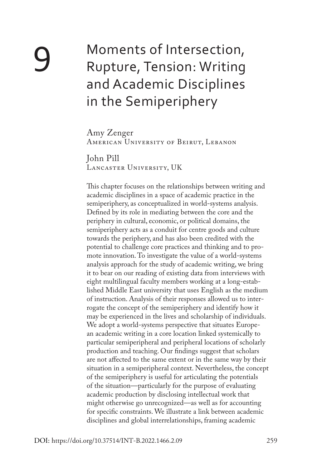# Moments of Intersection, Rupture, Tension: Writing and Academic Disciplines in the Semiperiphery

Amy Zenger AMERICAN UNIVERSITY OF BEIRUT, LEBANON

John Pill Lancaster University, UK

This chapter focuses on the relationships between writing and academic disciplines in a space of academic practice in the semiperiphery, as conceptualized in world-systems analysis. Defined by its role in mediating between the core and the periphery in cultural, economic, or political domains, the semiperiphery acts as a conduit for centre goods and culture towards the periphery, and has also been credited with the potential to challenge core practices and thinking and to promote innovation. To investigate the value of a world-systems analysis approach for the study of academic writing, we bring it to bear on our reading of existing data from interviews with eight multilingual faculty members working at a long-established Middle East university that uses English as the medium of instruction. Analysis of their responses allowed us to interrogate the concept of the semiperiphery and identify how it may be experienced in the lives and scholarship of individuals. We adopt a world-systems perspective that situates European academic writing in a core location linked systemically to particular semiperipheral and peripheral locations of scholarly production and teaching. Our findings suggest that scholars are not affected to the same extent or in the same way by their situation in a semiperipheral context. Nevertheless, the concept of the semiperiphery is useful for articulating the potentials of the situation—particularly for the purpose of evaluating academic production by disclosing intellectual work that might otherwise go unrecognized—as well as for accounting for specific constraints. We illustrate a link between academic disciplines and global interrelationships, framing academic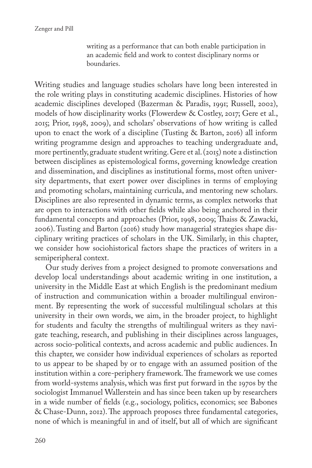Zenger and Pill

writing as a performance that can both enable participation in an academic field and work to contest disciplinary norms or boundaries.

Writing studies and language studies scholars have long been interested in the role writing plays in constituting academic disciplines. Histories of how academic disciplines developed (Bazerman & Paradis, 1991; Russell, 2002), models of how disciplinarity works (Flowerdew & Costley, 2017; Gere et al., 2015; Prior, 1998, 2009), and scholars' observations of how writing is called upon to enact the work of a discipline (Tusting & Barton, 2016) all inform writing programme design and approaches to teaching undergraduate and, more pertinently, graduate student writing. Gere et al. (2015) note a distinction between disciplines as epistemological forms, governing knowledge creation and dissemination, and disciplines as institutional forms, most often university departments, that exert power over disciplines in terms of employing and promoting scholars, maintaining curricula, and mentoring new scholars. Disciplines are also represented in dynamic terms, as complex networks that are open to interactions with other fields while also being anchored in their fundamental concepts and approaches (Prior, 1998, 2009; Thaiss & Zawacki, 2006). Tusting and Barton (2016) study how managerial strategies shape disciplinary writing practices of scholars in the UK. Similarly, in this chapter, we consider how sociohistorical factors shape the practices of writers in a semiperipheral context.

Our study derives from a project designed to promote conversations and develop local understandings about academic writing in one institution, a university in the Middle East at which English is the predominant medium of instruction and communication within a broader multilingual environment. By representing the work of successful multilingual scholars at this university in their own words, we aim, in the broader project, to highlight for students and faculty the strengths of multilingual writers as they navigate teaching, research, and publishing in their disciplines across languages, across socio-political contexts, and across academic and public audiences. In this chapter, we consider how individual experiences of scholars as reported to us appear to be shaped by or to engage with an assumed position of the institution within a core-periphery framework. The framework we use comes from world-systems analysis, which was first put forward in the 1970s by the sociologist Immanuel Wallerstein and has since been taken up by researchers in a wide number of fields (e.g., sociology, politics, economics; see Babones & Chase-Dunn, 2012). The approach proposes three fundamental categories, none of which is meaningful in and of itself, but all of which are significant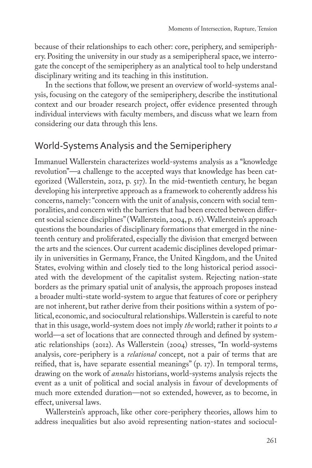because of their relationships to each other: core, periphery, and semiperiphery. Positing the university in our study as a semiperipheral space, we interrogate the concept of the semiperiphery as an analytical tool to help understand disciplinary writing and its teaching in this institution.

In the sections that follow, we present an overview of world-systems analysis, focusing on the category of the semiperiphery, describe the institutional context and our broader research project, offer evidence presented through individual interviews with faculty members, and discuss what we learn from considering our data through this lens.

## World-Systems Analysis and the Semiperiphery

Immanuel Wallerstein characterizes world-systems analysis as a "knowledge revolution"—a challenge to the accepted ways that knowledge has been categorized (Wallerstein, 2012, p. 517). In the mid-twentieth century, he began developing his interpretive approach as a framework to coherently address his concerns, namely: "concern with the unit of analysis, concern with social temporalities, and concern with the barriers that had been erected between different social science disciplines" (Wallerstein, 2004, p. 16). Wallerstein's approach questions the boundaries of disciplinary formations that emerged in the nineteenth century and proliferated, especially the division that emerged between the arts and the sciences. Our current academic disciplines developed primarily in universities in Germany, France, the United Kingdom, and the United States, evolving within and closely tied to the long historical period associated with the development of the capitalist system. Rejecting nation-state borders as the primary spatial unit of analysis, the approach proposes instead a broader multi-state world-system to argue that features of core or periphery are not inherent, but rather derive from their positions within a system of political, economic, and sociocultural relationships. Wallerstein is careful to note that in this usage, world-system does not imply *the* world; rather it points to *a*  world—a set of locations that are connected through and defined by systematic relationships (2012). As Wallerstein (2004) stresses, "In world-systems analysis, core-periphery is a *relational* concept, not a pair of terms that are reified, that is, have separate essential meanings" (p. 17). In temporal terms, drawing on the work of *annales* historians, world-systems analysis rejects the event as a unit of political and social analysis in favour of developments of much more extended duration—not so extended, however, as to become, in effect, universal laws.

Wallerstein's approach, like other core-periphery theories, allows him to address inequalities but also avoid representing nation-states and sociocul-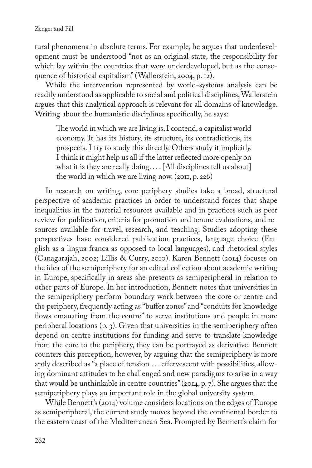tural phenomena in absolute terms. For example, he argues that underdevelopment must be understood "not as an original state, the responsibility for which lay within the countries that were underdeveloped, but as the consequence of historical capitalism" (Wallerstein, 2004, p. 12).

While the intervention represented by world-systems analysis can be readily understood as applicable to social and political disciplines, Wallerstein argues that this analytical approach is relevant for all domains of knowledge. Writing about the humanistic disciplines specifically, he says:

The world in which we are living is, I contend, a capitalist world economy. It has its history, its structure, its contradictions, its prospects. I try to study this directly. Others study it implicitly. I think it might help us all if the latter reflected more openly on what it is they are really doing. . . . [All disciplines tell us about] the world in which we are living now. (2011, p. 226)

In research on writing, core-periphery studies take a broad, structural perspective of academic practices in order to understand forces that shape inequalities in the material resources available and in practices such as peer review for publication, criteria for promotion and tenure evaluations, and resources available for travel, research, and teaching. Studies adopting these perspectives have considered publication practices, language choice (English as a lingua franca as opposed to local languages), and rhetorical styles (Canagarajah, 2002; Lillis & Curry, 2010). Karen Bennett (2014) focuses on the idea of the semiperiphery for an edited collection about academic writing in Europe, specifically in areas she presents as semiperipheral in relation to other parts of Europe. In her introduction, Bennett notes that universities in the semiperiphery perform boundary work between the core or centre and the periphery, frequently acting as "buffer zones" and "conduits for knowledge flows emanating from the centre" to serve institutions and people in more peripheral locations (p. 3). Given that universities in the semiperiphery often depend on centre institutions for funding and serve to translate knowledge from the core to the periphery, they can be portrayed as derivative. Bennett counters this perception, however, by arguing that the semiperiphery is more aptly described as "a place of tension . . . effervescent with possibilities, allowing dominant attitudes to be challenged and new paradigms to arise in a way that would be unthinkable in centre countries" (2014, p. 7). She argues that the semiperiphery plays an important role in the global university system.

While Bennett's (2014) volume considers locations on the edges of Europe as semiperipheral, the current study moves beyond the continental border to the eastern coast of the Mediterranean Sea. Prompted by Bennett's claim for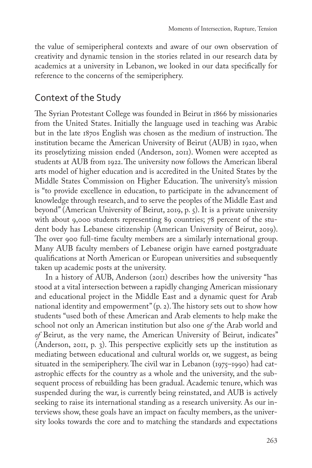the value of semiperipheral contexts and aware of our own observation of creativity and dynamic tension in the stories related in our research data by academics at a university in Lebanon, we looked in our data specifically for reference to the concerns of the semiperiphery.

# Context of the Study

The Syrian Protestant College was founded in Beirut in 1866 by missionaries from the United States. Initially the language used in teaching was Arabic but in the late 1870s English was chosen as the medium of instruction. The institution became the American University of Beirut (AUB) in 1920, when its proselytizing mission ended (Anderson, 2011). Women were accepted as students at AUB from 1922. The university now follows the American liberal arts model of higher education and is accredited in the United States by the Middle States Commission on Higher Education. The university's mission is "to provide excellence in education, to participate in the advancement of knowledge through research, and to serve the peoples of the Middle East and beyond" (American University of Beirut, 2019, p. 5). It is a private university with about 9,000 students representing 89 countries; 78 percent of the student body has Lebanese citizenship (American University of Beirut, 2019). The over 900 full-time faculty members are a similarly international group. Many AUB faculty members of Lebanese origin have earned postgraduate qualifications at North American or European universities and subsequently taken up academic posts at the university.

In a history of AUB, Anderson (2011) describes how the university "has stood at a vital intersection between a rapidly changing American missionary and educational project in the Middle East and a dynamic quest for Arab national identity and empowerment" (p. 2). The history sets out to show how students "used both of these American and Arab elements to help make the school not only an American institution but also one *of* the Arab world and *of* Beirut, as the very name, the American University of Beirut, indicates" (Anderson, 2011, p. 3). This perspective explicitly sets up the institution as mediating between educational and cultural worlds or, we suggest, as being situated in the semiperiphery. The civil war in Lebanon (1975–1990) had catastrophic effects for the country as a whole and the university, and the subsequent process of rebuilding has been gradual. Academic tenure, which was suspended during the war, is currently being reinstated, and AUB is actively seeking to raise its international standing as a research university. As our interviews show, these goals have an impact on faculty members, as the university looks towards the core and to matching the standards and expectations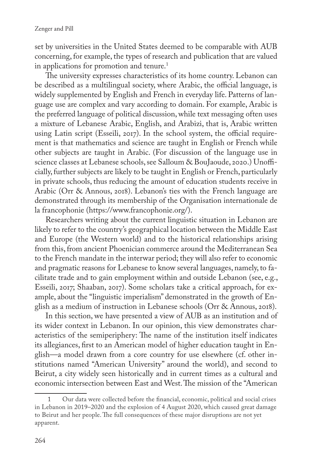set by universities in the United States deemed to be comparable with AUB concerning, for example, the types of research and publication that are valued in applications for promotion and tenure.<sup>1</sup>

The university expresses characteristics of its home country. Lebanon can be described as a multilingual society, where Arabic, the official language, is widely supplemented by English and French in everyday life. Patterns of language use are complex and vary according to domain. For example, Arabic is the preferred language of political discussion, while text messaging often uses a mixture of Lebanese Arabic, English, and Arabizi, that is, Arabic written using Latin script (Esseili, 2017). In the school system, the official requirement is that mathematics and science are taught in English or French while other subjects are taught in Arabic. (For discussion of the language use in science classes at Lebanese schools, see Salloum & BouJaoude, 2020.) Unofficially, further subjects are likely to be taught in English or French, particularly in private schools, thus reducing the amount of education students receive in Arabic (Orr & Annous, 2018). Lebanon's ties with the French language are demonstrated through its membership of the Organisation internationale de la francophonie ([https://www.francophonie.org/\)](https://www.francophonie.org/).

Researchers writing about the current linguistic situation in Lebanon are likely to refer to the country's geographical location between the Middle East and Europe (the Western world) and to the historical relationships arising from this, from ancient Phoenician commerce around the Mediterranean Sea to the French mandate in the interwar period; they will also refer to economic and pragmatic reasons for Lebanese to know several languages, namely, to facilitate trade and to gain employment within and outside Lebanon (see, e.g., Esseili, 2017; Shaaban, 2017). Some scholars take a critical approach, for example, about the "linguistic imperialism" demonstrated in the growth of English as a medium of instruction in Lebanese schools (Orr & Annous, 2018).

In this section, we have presented a view of AUB as an institution and of its wider context in Lebanon. In our opinion, this view demonstrates characteristics of the semiperiphery: The name of the institution itself indicates its allegiances, first to an American model of higher education taught in English—a model drawn from a core country for use elsewhere (cf. other institutions named "American University" around the world), and second to Beirut, a city widely seen historically and in current times as a cultural and economic intersection between East and West. The mission of the "American

<sup>1</sup> Our data were collected before the financial, economic, political and social crises in Lebanon in 2019–2020 and the explosion of 4 August 2020, which caused great damage to Beirut and her people. The full consequences of these major disruptions are not yet apparent.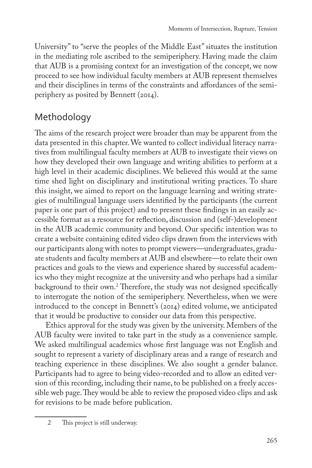University" to "serve the peoples of the Middle East" situates the institution in the mediating role ascribed to the semiperiphery. Having made the claim that AUB is a promising context for an investigation of the concept, we now proceed to see how individual faculty members at AUB represent themselves and their disciplines in terms of the constraints and affordances of the semiperiphery as posited by Bennett (2014).

# Methodology

The aims of the research project were broader than may be apparent from the data presented in this chapter. We wanted to collect individual literacy narratives from multilingual faculty members at AUB to investigate their views on how they developed their own language and writing abilities to perform at a high level in their academic disciplines. We believed this would at the same time shed light on disciplinary and institutional writing practices. To share this insight, we aimed to report on the language learning and writing strategies of multilingual language users identified by the participants (the current paper is one part of this project) and to present these findings in an easily accessible format as a resource for reflection, discussion and (self-)development in the AUB academic community and beyond. Our specific intention was to create a website containing edited video clips drawn from the interviews with our participants along with notes to prompt viewers—undergraduates, graduate students and faculty members at AUB and elsewhere—to relate their own practices and goals to the views and experience shared by successful academics who they might recognize at the university and who perhaps had a similar background to their own.2 Therefore, the study was not designed specifically to interrogate the notion of the semiperiphery. Nevertheless, when we were introduced to the concept in Bennett's (2014) edited volume, we anticipated that it would be productive to consider our data from this perspective.

Ethics approval for the study was given by the university. Members of the AUB faculty were invited to take part in the study as a convenience sample. We asked multilingual academics whose first language was not English and sought to represent a variety of disciplinary areas and a range of research and teaching experience in these disciplines. We also sought a gender balance. Participants had to agree to being video-recorded and to allow an edited version of this recording, including their name, to be published on a freely accessible web page. They would be able to review the proposed video clips and ask for revisions to be made before publication.

<sup>2</sup> This project is still underway.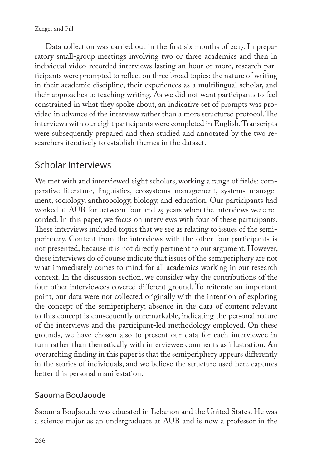Data collection was carried out in the first six months of 2017. In preparatory small-group meetings involving two or three academics and then in individual video-recorded interviews lasting an hour or more, research participants were prompted to reflect on three broad topics: the nature of writing in their academic discipline, their experiences as a multilingual scholar, and their approaches to teaching writing. As we did not want participants to feel constrained in what they spoke about, an indicative set of prompts was provided in advance of the interview rather than a more structured protocol. The interviews with our eight participants were completed in English. Transcripts were subsequently prepared and then studied and annotated by the two researchers iteratively to establish themes in the dataset.

# Scholar Interviews

We met with and interviewed eight scholars, working a range of fields: comparative literature, linguistics, ecosystems management, systems management, sociology, anthropology, biology, and education. Our participants had worked at AUB for between four and 25 years when the interviews were recorded. In this paper, we focus on interviews with four of these participants. These interviews included topics that we see as relating to issues of the semiperiphery. Content from the interviews with the other four participants is not presented, because it is not directly pertinent to our argument. However, these interviews do of course indicate that issues of the semiperiphery are not what immediately comes to mind for all academics working in our research context. In the discussion section, we consider why the contributions of the four other interviewees covered different ground. To reiterate an important point, our data were not collected originally with the intention of exploring the concept of the semiperiphery; absence in the data of content relevant to this concept is consequently unremarkable, indicating the personal nature of the interviews and the participant-led methodology employed. On these grounds, we have chosen also to present our data for each interviewee in turn rather than thematically with interviewee comments as illustration. An overarching finding in this paper is that the semiperiphery appears differently in the stories of individuals, and we believe the structure used here captures better this personal manifestation.

#### Saouma BouJaoude

Saouma BouJaoude was educated in Lebanon and the United States. He was a science major as an undergraduate at AUB and is now a professor in the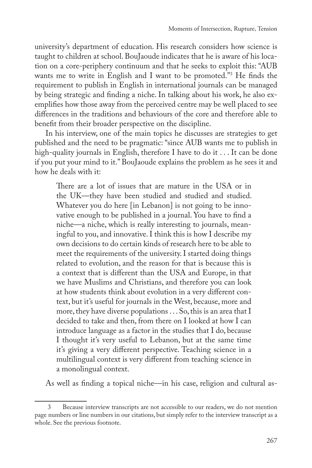university's department of education. His research considers how science is taught to children at school. BouJaoude indicates that he is aware of his location on a core-periphery continuum and that he seeks to exploit this: "AUB wants me to write in English and I want to be promoted."3 He finds the requirement to publish in English in international journals can be managed by being strategic and finding a niche. In talking about his work, he also exemplifies how those away from the perceived centre may be well placed to see differences in the traditions and behaviours of the core and therefore able to benefit from their broader perspective on the discipline.

In his interview, one of the main topics he discusses are strategies to get published and the need to be pragmatic: "since AUB wants me to publish in high-quality journals in English, therefore I have to do it . . . It can be done if you put your mind to it." BouJaoude explains the problem as he sees it and how he deals with it:

There are a lot of issues that are mature in the USA or in the UK—they have been studied and studied and studied. Whatever you do here [in Lebanon] is not going to be innovative enough to be published in a journal. You have to find a niche—a niche, which is really interesting to journals, meaningful to you, and innovative. I think this is how I describe my own decisions to do certain kinds of research here to be able to meet the requirements of the university. I started doing things related to evolution, and the reason for that is because this is a context that is different than the USA and Europe, in that we have Muslims and Christians, and therefore you can look at how students think about evolution in a very different context, but it's useful for journals in the West, because, more and more, they have diverse populations . . . So, this is an area that I decided to take and then, from there on I looked at how I can introduce language as a factor in the studies that I do, because I thought it's very useful to Lebanon, but at the same time it's giving a very different perspective. Teaching science in a multilingual context is very different from teaching science in a monolingual context.

As well as finding a topical niche—in his case, religion and cultural as-

<sup>3</sup> Because interview transcripts are not accessible to our readers, we do not mention page numbers or line numbers in our citations, but simply refer to the interview transcript as a whole. See the previous footnote.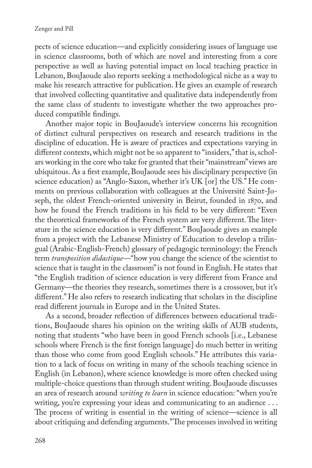pects of science education—and explicitly considering issues of language use in science classrooms, both of which are novel and interesting from a core perspective as well as having potential impact on local teaching practice in Lebanon, BouJaoude also reports seeking a methodological niche as a way to make his research attractive for publication. He gives an example of research that involved collecting quantitative and qualitative data independently from the same class of students to investigate whether the two approaches produced compatible findings.

Another major topic in BouJaoude's interview concerns his recognition of distinct cultural perspectives on research and research traditions in the discipline of education. He is aware of practices and expectations varying in different contexts, which might not be so apparent to "insiders," that is, scholars working in the core who take for granted that their "mainstream" views are ubiquitous. As a first example, BouJaoude sees his disciplinary perspective (in science education) as "Anglo-Saxon, whether it's UK [or] the US." He comments on previous collaboration with colleagues at the Université Saint-Joseph, the oldest French-oriented university in Beirut, founded in 1870, and how he found the French traditions in his field to be very different: "Even the theoretical frameworks of the French system are very different. The literature in the science education is very different." BouJaoude gives an example from a project with the Lebanese Ministry of Education to develop a trilingual (Arabic-English-French) glossary of pedagogic terminology: the French term *transposition didactique—*"how you change the science of the scientist to science that is taught in the classroom" is not found in English. He states that "the English tradition of science education is very different from France and Germany—the theories they research, sometimes there is a crossover, but it's different." He also refers to research indicating that scholars in the discipline read different journals in Europe and in the United States.

As a second, broader reflection of differences between educational traditions, BouJaoude shares his opinion on the writing skills of AUB students, noting that students "who have been in good French schools [i.e., Lebanese schools where French is the first foreign language] do much better in writing than those who come from good English schools." He attributes this variation to a lack of focus on writing in many of the schools teaching science in English (in Lebanon), where science knowledge is more often checked using multiple-choice questions than through student writing. BouJaoude discusses an area of research around *writing to learn* in science education: "when you're writing, you're expressing your ideas and communicating to an audience ... The process of writing is essential in the writing of science—science is all about critiquing and defending arguments." The processes involved in writing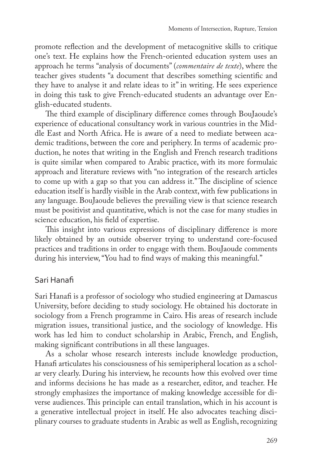promote reflection and the development of metacognitive skills to critique one's text. He explains how the French-oriented education system uses an approach he terms "analysis of documents" (*commentaire de texte*), where the teacher gives students "a document that describes something scientific and they have to analyse it and relate ideas to it" in writing. He sees experience in doing this task to give French-educated students an advantage over English-educated students.

The third example of disciplinary difference comes through BouJaoude's experience of educational consultancy work in various countries in the Middle East and North Africa. He is aware of a need to mediate between academic traditions, between the core and periphery. In terms of academic production, he notes that writing in the English and French research traditions is quite similar when compared to Arabic practice, with its more formulaic approach and literature reviews with "no integration of the research articles to come up with a gap so that you can address it." The discipline of science education itself is hardly visible in the Arab context, with few publications in any language. BouJaoude believes the prevailing view is that science research must be positivist and quantitative, which is not the case for many studies in science education, his field of expertise.

This insight into various expressions of disciplinary difference is more likely obtained by an outside observer trying to understand core-focused practices and traditions in order to engage with them. BouJaoude comments during his interview, "You had to find ways of making this meaningful."

#### Sari Hanafi

Sari Hanafi is a professor of sociology who studied engineering at Damascus University, before deciding to study sociology. He obtained his doctorate in sociology from a French programme in Cairo. His areas of research include migration issues, transitional justice, and the sociology of knowledge. His work has led him to conduct scholarship in Arabic, French, and English, making significant contributions in all these languages.

As a scholar whose research interests include knowledge production, Hanafi articulates his consciousness of his semiperipheral location as a scholar very clearly. During his interview, he recounts how this evolved over time and informs decisions he has made as a researcher, editor, and teacher. He strongly emphasizes the importance of making knowledge accessible for diverse audiences. This principle can entail translation, which in his account is a generative intellectual project in itself. He also advocates teaching disciplinary courses to graduate students in Arabic as well as English, recognizing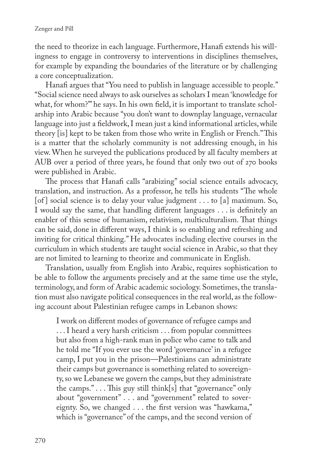the need to theorize in each language. Furthermore, Hanafi extends his willingness to engage in controversy to interventions in disciplines themselves, for example by expanding the boundaries of the literature or by challenging a core conceptualization.

Hanafi argues that "You need to publish in language accessible to people." "Social science need always to ask ourselves as scholars I mean 'knowledge for what, for whom?'" he says. In his own field, it is important to translate scholarship into Arabic because "you don't want to downplay language, vernacular language into just a fieldwork, I mean just a kind informational articles, while theory [is] kept to be taken from those who write in English or French." This is a matter that the scholarly community is not addressing enough, in his view. When he surveyed the publications produced by all faculty members at AUB over a period of three years, he found that only two out of 270 books were published in Arabic.

The process that Hanafi calls "arabizing" social science entails advocacy, translation, and instruction. As a professor, he tells his students "The whole [of] social science is to delay your value judgment . . . to [a] maximum. So, I would say the same, that handling different languages . . . is definitely an enabler of this sense of humanism, relativism, multiculturalism. That things can be said, done in different ways, I think is so enabling and refreshing and inviting for critical thinking." He advocates including elective courses in the curriculum in which students are taught social science in Arabic, so that they are not limited to learning to theorize and communicate in English.

Translation, usually from English into Arabic, requires sophistication to be able to follow the arguments precisely and at the same time use the style, terminology, and form of Arabic academic sociology. Sometimes, the translation must also navigate political consequences in the real world, as the following account about Palestinian refugee camps in Lebanon shows:

I work on different modes of governance of refugee camps and . . . I heard a very harsh criticism . . . from popular committees but also from a high-rank man in police who came to talk and he told me "If you ever use the word 'governance' in a refugee camp, I put you in the prison—Palestinians can administrate their camps but governance is something related to sovereignty, so we Lebanese we govern the camps, but they administrate the camps." . . . This guy still think[s] that "governance" only about "government" . . . and "government" related to sovereignty. So, we changed . . . the first version was "hawkama," which is "governance" of the camps, and the second version of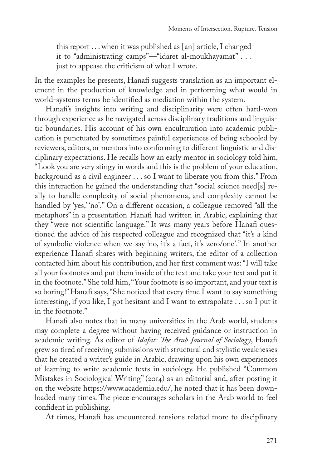this report . . . when it was published as [an] article, I changed it to "administrating camps"—"idaret al-moukhayamat" . . . just to appease the criticism of what I wrote.

In the examples he presents, Hanafi suggests translation as an important element in the production of knowledge and in performing what would in world-systems terms be identified as mediation within the system.

Hanafi's insights into writing and disciplinarity were often hard-won through experience as he navigated across disciplinary traditions and linguistic boundaries. His account of his own enculturation into academic publication is punctuated by sometimes painful experiences of being schooled by reviewers, editors, or mentors into conforming to different linguistic and disciplinary expectations. He recalls how an early mentor in sociology told him, "Look you are very stingy in words and this is the problem of your education, background as a civil engineer . . . so I want to liberate you from this." From this interaction he gained the understanding that "social science need[s] really to handle complexity of social phenomena, and complexity cannot be handled by 'yes,' 'no'." On a different occasion, a colleague removed "all the metaphors" in a presentation Hanafi had written in Arabic, explaining that they "were not scientific language." It was many years before Hanafi questioned the advice of his respected colleague and recognized that "it's a kind of symbolic violence when we say 'no, it's a fact, it's zero/one'." In another experience Hanafi shares with beginning writers, the editor of a collection contacted him about his contribution, and her first comment was: "I will take all your footnotes and put them inside of the text and take your text and put it in the footnote." She told him, "Your footnote is so important, and your text is so boring!" Hanafi says, "She noticed that every time I want to say something interesting, if you like, I got hesitant and I want to extrapolate . . . so I put it in the footnote."

Hanafi also notes that in many universities in the Arab world, students may complete a degree without having received guidance or instruction in academic writing. As editor of *Idafat: The Arab Journal of Sociology*, Hanafi grew so tired of receiving submissions with structural and stylistic weaknesses that he created a writer's guide in Arabic, drawing upon his own experiences of learning to write academic texts in sociology. He published "Common Mistakes in Sociological Writing" (2014) as an editorial and, after posting it on the website<https://www.academia.edu/>, he noted that it has been downloaded many times. The piece encourages scholars in the Arab world to feel confident in publishing.

At times, Hanafi has encountered tensions related more to disciplinary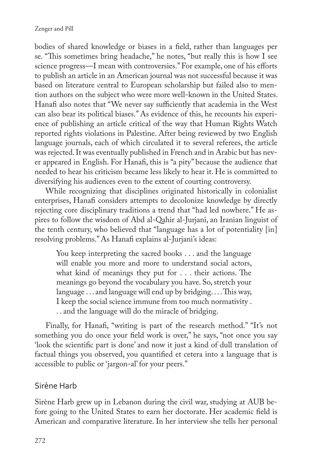bodies of shared knowledge or biases in a field, rather than languages per se. "This sometimes bring headache," he notes, "but really this is how I see science progress—I mean with controversies." For example, one of his efforts to publish an article in an American journal was not successful because it was based on literature central to European scholarship but failed also to mention authors on the subject who were more well-known in the United States. Hanafi also notes that "We never say sufficiently that academia in the West can also bear its political biases." As evidence of this, he recounts his experience of publishing an article critical of the way that Human Rights Watch reported rights violations in Palestine. After being reviewed by two English language journals, each of which circulated it to several referees, the article was rejected. It was eventually published in French and in Arabic but has never appeared in English. For Hanafi, this is "a pity" because the audience that needed to hear his criticism became less likely to hear it. He is committed to diversifying his audiences even to the extent of courting controversy.

While recognizing that disciplines originated historically in colonialist enterprises, Hanafi considers attempts to decolonize knowledge by directly rejecting core disciplinary traditions a trend that "had led nowhere." He aspires to follow the wisdom of Abd al-Qahir al-Jurjani, an Iranian linguist of the tenth century, who believed that "language has a lot of potentiality [in] resolving problems." As Hanafi explains al-Jurjani's ideas:

You keep interpreting the sacred books . . . and the language will enable you more and more to understand social actors, what kind of meanings they put for . . . their actions. The meanings go beyond the vocabulary you have. So, stretch your language . . . and language will end up by bridging. . . . This way, I keep the social science immune from too much normativity . . . and the language will do the miracle of bridging.

Finally, for Hanafi, "writing is part of the research method." "It's not something you do once your field work is over," he says, "not once you say 'look the scientific part is done' and now it just a kind of dull translation of factual things you observed, you quantified et cetera into a language that is accessible to public or 'jargon-al' for your peers."

#### Sirène Harb

Sirène Harb grew up in Lebanon during the civil war, studying at AUB before going to the United States to earn her doctorate. Her academic field is American and comparative literature. In her interview she tells her personal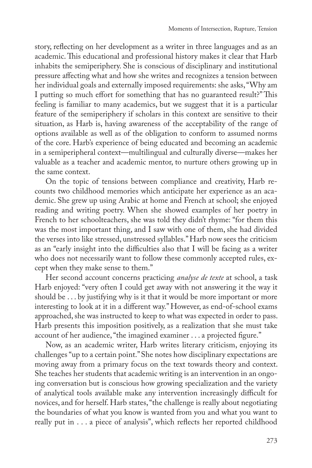story, reflecting on her development as a writer in three languages and as an academic. This educational and professional history makes it clear that Harb inhabits the semiperiphery. She is conscious of disciplinary and institutional pressure affecting what and how she writes and recognizes a tension between her individual goals and externally imposed requirements: she asks, "Why am I putting so much effort for something that has no guaranteed result?" This feeling is familiar to many academics, but we suggest that it is a particular feature of the semiperiphery if scholars in this context are sensitive to their situation, as Harb is, having awareness of the acceptability of the range of options available as well as of the obligation to conform to assumed norms of the core. Harb's experience of being educated and becoming an academic in a semiperipheral context—multilingual and culturally diverse—makes her valuable as a teacher and academic mentor, to nurture others growing up in the same context.

On the topic of tensions between compliance and creativity, Harb recounts two childhood memories which anticipate her experience as an academic. She grew up using Arabic at home and French at school; she enjoyed reading and writing poetry. When she showed examples of her poetry in French to her schoolteachers, she was told they didn't rhyme: "for them this was the most important thing, and I saw with one of them, she had divided the verses into like stressed, unstressed syllables." Harb now sees the criticism as an "early insight into the difficulties also that I will be facing as a writer who does not necessarily want to follow these commonly accepted rules, except when they make sense to them."

Her second account concerns practicing *analyse de texte* at school, a task Harb enjoyed: "very often I could get away with not answering it the way it should be . . . by justifying why is it that it would be more important or more interesting to look at it in a different way." However, as end-of-school exams approached, she was instructed to keep to what was expected in order to pass. Harb presents this imposition positively, as a realization that she must take account of her audience, "the imagined examiner . . . a projected figure."

Now, as an academic writer, Harb writes literary criticism, enjoying its challenges "up to a certain point." She notes how disciplinary expectations are moving away from a primary focus on the text towards theory and context. She teaches her students that academic writing is an intervention in an ongoing conversation but is conscious how growing specialization and the variety of analytical tools available make any intervention increasingly difficult for novices, and for herself. Harb states, "the challenge is really about negotiating the boundaries of what you know is wanted from you and what you want to really put in . . . a piece of analysis", which reflects her reported childhood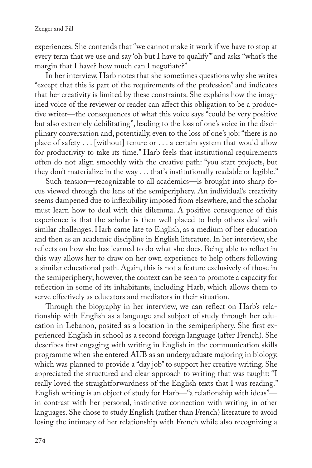experiences. She contends that "we cannot make it work if we have to stop at every term that we use and say 'oh but I have to qualify'" and asks "what's the margin that I have? how much can I negotiate?"

In her interview, Harb notes that she sometimes questions why she writes "except that this is part of the requirements of the profession" and indicates that her creativity is limited by these constraints. She explains how the imagined voice of the reviewer or reader can affect this obligation to be a productive writer—the consequences of what this voice says "could be very positive but also extremely debilitating", leading to the loss of one's voice in the disciplinary conversation and, potentially, even to the loss of one's job: "there is no place of safety . . . [without] tenure or . . . a certain system that would allow for productivity to take its time." Harb feels that institutional requirements often do not align smoothly with the creative path: "you start projects, but they don't materialize in the way . . . that's institutionally readable or legible."

Such tension—recognizable to all academics—is brought into sharp focus viewed through the lens of the semiperiphery. An individual's creativity seems dampened due to inflexibility imposed from elsewhere, and the scholar must learn how to deal with this dilemma. A positive consequence of this experience is that the scholar is then well placed to help others deal with similar challenges. Harb came late to English, as a medium of her education and then as an academic discipline in English literature. In her interview, she reflects on how she has learned to do what she does. Being able to reflect in this way allows her to draw on her own experience to help others following a similar educational path. Again, this is not a feature exclusively of those in the semiperiphery; however, the context can be seen to promote a capacity for reflection in some of its inhabitants, including Harb, which allows them to serve effectively as educators and mediators in their situation.

Through the biography in her interview, we can reflect on Harb's relationship with English as a language and subject of study through her education in Lebanon, posited as a location in the semiperiphery. She first experienced English in school as a second foreign language (after French). She describes first engaging with writing in English in the communication skills programme when she entered AUB as an undergraduate majoring in biology, which was planned to provide a "day job" to support her creative writing. She appreciated the structured and clear approach to writing that was taught: "I really loved the straightforwardness of the English texts that I was reading." English writing is an object of study for Harb—"a relationship with ideas" in contrast with her personal, instinctive connection with writing in other languages. She chose to study English (rather than French) literature to avoid losing the intimacy of her relationship with French while also recognizing a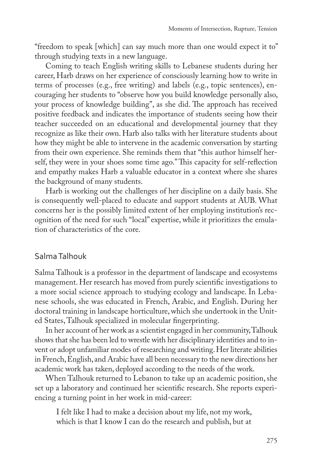"freedom to speak [which] can say much more than one would expect it to" through studying texts in a new language.

Coming to teach English writing skills to Lebanese students during her career, Harb draws on her experience of consciously learning how to write in terms of processes (e.g., free writing) and labels (e.g., topic sentences), encouraging her students to "observe how you build knowledge personally also, your process of knowledge building", as she did. The approach has received positive feedback and indicates the importance of students seeing how their teacher succeeded on an educational and developmental journey that they recognize as like their own. Harb also talks with her literature students about how they might be able to intervene in the academic conversation by starting from their own experience. She reminds them that "this author himself herself, they were in your shoes some time ago." This capacity for self-reflection and empathy makes Harb a valuable educator in a context where she shares the background of many students.

Harb is working out the challenges of her discipline on a daily basis. She is consequently well-placed to educate and support students at AUB. What concerns her is the possibly limited extent of her employing institution's recognition of the need for such "local" expertise, while it prioritizes the emulation of characteristics of the core.

#### Salma Talhouk

Salma Talhouk is a professor in the department of landscape and ecosystems management. Her research has moved from purely scientific investigations to a more social science approach to studying ecology and landscape. In Lebanese schools, she was educated in French, Arabic, and English. During her doctoral training in landscape horticulture, which she undertook in the United States, Talhouk specialized in molecular fingerprinting.

In her account of her work as a scientist engaged in her community, Talhouk shows that she has been led to wrestle with her disciplinary identities and to invent or adopt unfamiliar modes of researching and writing. Her literate abilities in French, English, and Arabic have all been necessary to the new directions her academic work has taken, deployed according to the needs of the work.

When Talhouk returned to Lebanon to take up an academic position, she set up a laboratory and continued her scientific research. She reports experiencing a turning point in her work in mid-career:

I felt like I had to make a decision about my life, not my work, which is that I know I can do the research and publish, but at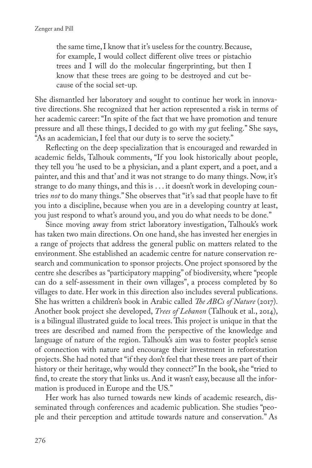the same time, I know that it's useless for the country. Because, for example, I would collect different olive trees or pistachio trees and I will do the molecular fingerprinting, but then I know that these trees are going to be destroyed and cut because of the social set-up.

She dismantled her laboratory and sought to continue her work in innovative directions. She recognized that her action represented a risk in terms of her academic career: "In spite of the fact that we have promotion and tenure pressure and all these things, I decided to go with my gut feeling." She says, "As an academician, I feel that our duty is to serve the society."

Reflecting on the deep specialization that is encouraged and rewarded in academic fields, Talhouk comments, "If you look historically about people, they tell you 'he used to be a physician, and a plant expert, and a poet, and a painter, and this and that' and it was not strange to do many things. Now, it's strange to do many things, and this is . . . it doesn't work in developing countries *not* to do many things." She observes that "it's sad that people have to fit you into a discipline, because when you are in a developing country at least, you just respond to what's around you, and you do what needs to be done."

Since moving away from strict laboratory investigation, Talhouk's work has taken two main directions. On one hand, she has invested her energies in a range of projects that address the general public on matters related to the environment. She established an academic centre for nature conservation research and communication to sponsor projects. One project sponsored by the centre she describes as "participatory mapping" of biodiversity, where "people can do a self-assessment in their own villages", a process completed by 80 villages to date. Her work in this direction also includes several publications. She has written a children's book in Arabic called *The ABCs of Nature* (2017). Another book project she developed, *Trees of Lebanon* (Talhouk et al., 2014), is a bilingual illustrated guide to local trees. This project is unique in that the trees are described and named from the perspective of the knowledge and language of nature of the region. Talhouk's aim was to foster people's sense of connection with nature and encourage their investment in reforestation projects. She had noted that "if they don't feel that these trees are part of their history or their heritage, why would they connect?" In the book, she "tried to find, to create the story that links us. And it wasn't easy, because all the information is produced in Europe and the US."

Her work has also turned towards new kinds of academic research, disseminated through conferences and academic publication. She studies "people and their perception and attitude towards nature and conservation." As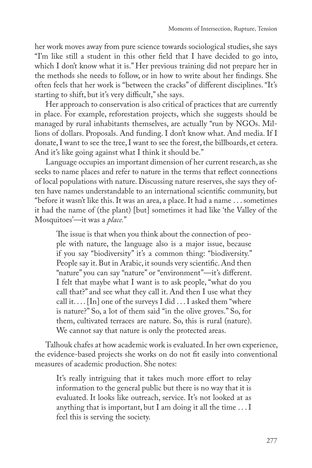her work moves away from pure science towards sociological studies, she says "I'm like still a student in this other field that I have decided to go into, which I don't know what it is." Her previous training did not prepare her in the methods she needs to follow, or in how to write about her findings. She often feels that her work is "between the cracks" of different disciplines. "It's starting to shift, but it's very difficult," she says.

Her approach to conservation is also critical of practices that are currently in place. For example, reforestation projects, which she suggests should be managed by rural inhabitants themselves, are actually "run by NGOs. Millions of dollars. Proposals. And funding. I don't know what. And media. If I donate, I want to see the tree, I want to see the forest, the billboards, et cetera. And it's like going against what I think it should be."

Language occupies an important dimension of her current research, as she seeks to name places and refer to nature in the terms that reflect connections of local populations with nature. Discussing nature reserves, she says they often have names understandable to an international scientific community, but "before it wasn't like this. It was an area, a place. It had a name . . . sometimes it had the name of (the plant) [but] sometimes it had like 'the Valley of the Mosquitoes'—it was a *place.*"

The issue is that when you think about the connection of people with nature, the language also is a major issue, because if you say "biodiversity" it's a common thing: "biodiversity." People say it. But in Arabic, it sounds very scientific. And then "nature" you can say "nature" or "environment"—it's different. I felt that maybe what I want is to ask people, "what do you call that?" and see what they call it. And then I use what they call it. . . . [In] one of the surveys I did . . . I asked them "where is nature?" So, a lot of them said "in the olive groves." So, for them, cultivated terraces are nature. So, this is rural (nature). We cannot say that nature is only the protected areas.

Talhouk chafes at how academic work is evaluated. In her own experience, the evidence-based projects she works on do not fit easily into conventional measures of academic production. She notes:

It's really intriguing that it takes much more effort to relay information to the general public but there is no way that it is evaluated. It looks like outreach, service. It's not looked at as anything that is important, but I am doing it all the time . . . I feel this is serving the society.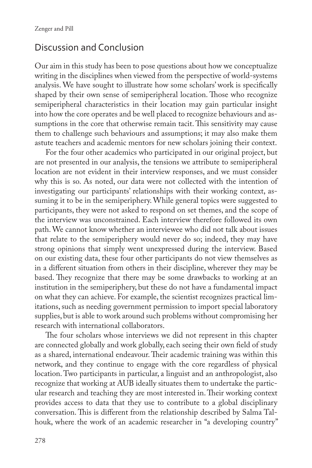### Discussion and Conclusion

Our aim in this study has been to pose questions about how we conceptualize writing in the disciplines when viewed from the perspective of world-systems analysis. We have sought to illustrate how some scholars' work is specifically shaped by their own sense of semiperipheral location. Those who recognize semiperipheral characteristics in their location may gain particular insight into how the core operates and be well placed to recognize behaviours and assumptions in the core that otherwise remain tacit. This sensitivity may cause them to challenge such behaviours and assumptions; it may also make them astute teachers and academic mentors for new scholars joining their context.

For the four other academics who participated in our original project, but are not presented in our analysis, the tensions we attribute to semiperipheral location are not evident in their interview responses, and we must consider why this is so. As noted, our data were not collected with the intention of investigating our participants' relationships with their working context, assuming it to be in the semiperiphery. While general topics were suggested to participants, they were not asked to respond on set themes, and the scope of the interview was unconstrained. Each interview therefore followed its own path. We cannot know whether an interviewee who did not talk about issues that relate to the semiperiphery would never do so; indeed, they may have strong opinions that simply went unexpressed during the interview. Based on our existing data, these four other participants do not view themselves as in a different situation from others in their discipline, wherever they may be based. They recognize that there may be some drawbacks to working at an institution in the semiperiphery, but these do not have a fundamental impact on what they can achieve. For example, the scientist recognizes practical limitations, such as needing government permission to import special laboratory supplies, but is able to work around such problems without compromising her research with international collaborators.

The four scholars whose interviews we did not represent in this chapter are connected globally and work globally, each seeing their own field of study as a shared, international endeavour. Their academic training was within this network, and they continue to engage with the core regardless of physical location. Two participants in particular, a linguist and an anthropologist, also recognize that working at AUB ideally situates them to undertake the particular research and teaching they are most interested in. Their working context provides access to data that they use to contribute to a global disciplinary conversation. This is different from the relationship described by Salma Talhouk, where the work of an academic researcher in "a developing country"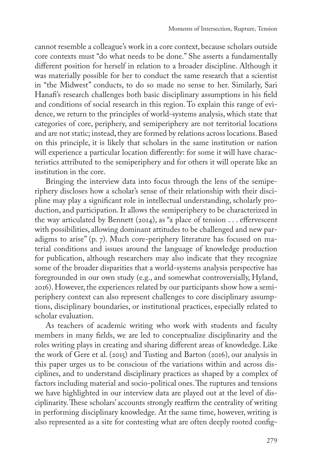cannot resemble a colleague's work in a core context, because scholars outside core contexts must "do what needs to be done." She asserts a fundamentally different position for herself in relation to a broader discipline. Although it was materially possible for her to conduct the same research that a scientist in "the Midwest" conducts, to do so made no sense to her. Similarly, Sari Hanafi's research challenges both basic disciplinary assumptions in his field and conditions of social research in this region. To explain this range of evidence, we return to the principles of world-systems analysis, which state that categories of core, periphery, and semiperiphery are not territorial locations and are not static; instead, they are formed by relations across locations. Based on this principle, it is likely that scholars in the same institution or nation will experience a particular location differently: for some it will have characteristics attributed to the semiperiphery and for others it will operate like an institution in the core.

Bringing the interview data into focus through the lens of the semiperiphery discloses how a scholar's sense of their relationship with their discipline may play a significant role in intellectual understanding, scholarly production, and participation. It allows the semiperiphery to be characterized in the way articulated by Bennett (2014), as "a place of tension . . . effervescent with possibilities, allowing dominant attitudes to be challenged and new paradigms to arise" (p. 7). Much core-periphery literature has focused on material conditions and issues around the language of knowledge production for publication, although researchers may also indicate that they recognize some of the broader disparities that a world-systems analysis perspective has foregrounded in our own study (e.g., and somewhat controversially, Hyland, 2016). However, the experiences related by our participants show how a semiperiphery context can also represent challenges to core disciplinary assumptions, disciplinary boundaries, or institutional practices, especially related to scholar evaluation.

As teachers of academic writing who work with students and faculty members in many fields, we are led to conceptualize disciplinarity and the roles writing plays in creating and sharing different areas of knowledge. Like the work of Gere et al. (2015) and Tusting and Barton (2016), our analysis in this paper urges us to be conscious of the variations within and across disciplines, and to understand disciplinary practices as shaped by a complex of factors including material and socio-political ones. The ruptures and tensions we have highlighted in our interview data are played out at the level of disciplinarity. These scholars' accounts strongly reaffirm the centrality of writing in performing disciplinary knowledge. At the same time, however, writing is also represented as a site for contesting what are often deeply rooted config-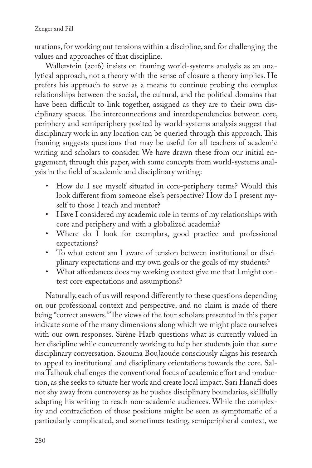urations, for working out tensions within a discipline, and for challenging the values and approaches of that discipline.

Wallerstein (2016) insists on framing world-systems analysis as an analytical approach, not a theory with the sense of closure a theory implies. He prefers his approach to serve as a means to continue probing the complex relationships between the social, the cultural, and the political domains that have been difficult to link together, assigned as they are to their own disciplinary spaces. The interconnections and interdependencies between core, periphery and semiperiphery posited by world-systems analysis suggest that disciplinary work in any location can be queried through this approach. This framing suggests questions that may be useful for all teachers of academic writing and scholars to consider. We have drawn these from our initial engagement, through this paper, with some concepts from world-systems analysis in the field of academic and disciplinary writing:

- How do I see myself situated in core-periphery terms? Would this look different from someone else's perspective? How do I present myself to those I teach and mentor?
- Have I considered my academic role in terms of my relationships with core and periphery and with a globalized academia?
- Where do I look for exemplars, good practice and professional expectations?
- To what extent am I aware of tension between institutional or disciplinary expectations and my own goals or the goals of my students?
- What affordances does my working context give me that I might contest core expectations and assumptions?

Naturally, each of us will respond differently to these questions depending on our professional context and perspective, and no claim is made of there being "correct answers." The views of the four scholars presented in this paper indicate some of the many dimensions along which we might place ourselves with our own responses. Sirène Harb questions what is currently valued in her discipline while concurrently working to help her students join that same disciplinary conversation. Saouma BouJaoude consciously aligns his research to appeal to institutional and disciplinary orientations towards the core. Salma Talhouk challenges the conventional focus of academic effort and production, as she seeks to situate her work and create local impact. Sari Hanafi does not shy away from controversy as he pushes disciplinary boundaries, skillfully adapting his writing to reach non-academic audiences. While the complexity and contradiction of these positions might be seen as symptomatic of a particularly complicated, and sometimes testing, semiperipheral context, we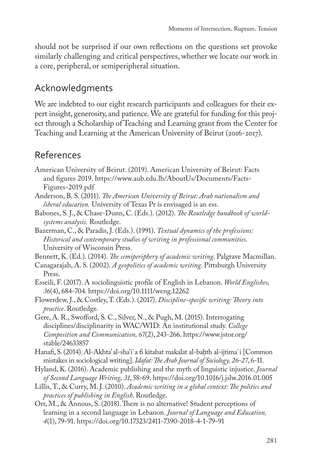should not be surprised if our own reflections on the questions set provoke similarly challenging and critical perspectives, whether we locate our work in a core, peripheral, or semiperipheral situation.

# Acknowledgments

We are indebted to our eight research participants and colleagues for their expert insight, generosity, and patience. We are grateful for funding for this project through a Scholarship of Teaching and Learning grant from the Center for Teaching and Learning at the American University of Beirut (2016-2017).

# References

- American University of Beirut. (2019). American University of Beirut: Facts and figures 2019. [https://www.aub.edu.lb/AboutUs/Documents/Facts-](https://www.aub.edu.lb/AboutUs/Documents/Facts-Figures-2019.pdf%20)[Figures-2019.pdf](https://www.aub.edu.lb/AboutUs/Documents/Facts-Figures-2019.pdf%20)
- Anderson, B. S. (2011). *The American University of Beirut: Arab nationalism and liberal education.* University of Texas Pr is envisaged is an ess.
- Babones, S. J., & Chase-Dunn, C. (Eds.). (2012). *The Routledge handbook of worldsystems analysis.* Routledge.
- Bazerman, C., & Paradis, J. (Eds.). (1991). *Textual dynamics of the professions: Historical and contemporary studies of writing in professional communities*. University of Wisconsin Press.
- Bennett, K. (Ed.). (2014). *The semiperiphery of academic writing*. Palgrave Macmillan.
- Canagarajah, A. S. (2002). *A geopolitics of academic writing*. Pittsburgh University Press.
- Esseili, F. (2017). A sociolinguistic profile of English in Lebanon. *World Englishes, 36*(4), 684-704. <https://doi.org/10.1111/weng.12262>
- Flowerdew, J., & Costley, T. (Eds.). (2017). *Discipline-specific writing: Theory into practice*. Routledge.
- Gere, A. R., Swofford, S. C., Silver, N., & Pugh, M. (2015). Interrogating disciplines/disciplinarity in WAC/WID: An institutional study. *College Composition and Communication, 67*(2), 243-266. [https://www.jstor.org/](https://www.jstor.org/stable/24633857) [stable/24633857](https://www.jstor.org/stable/24633857)
- Hanafi, S. (2014). Al-Akhta' al-sha'i`a fi kitabat makalat al-baḥth al-ijtima`i [Common mistakes in sociological writing]. *Idafat: The Arab Journal of Sociology, 26-27*, 6-11.
- Hyland, K. (2016). Academic publishing and the myth of linguistic injustice. *Journal of Second Language Writing, 31*, 58-69.<https://doi.org/10.1016/j.jslw.2016.01.005>
- Lillis, T., & Curry, M. J. (2010). *Academic writing in a global context: The politics and practices of publishing in English*. Routledge.
- Orr, M., & Annous, S. (2018). There is no alternative! Student perceptions of learning in a second language in Lebanon. *Journal of Language and Education, 4*(1), 79-91. [https://doi.org/10.17323/2411-7390-2018-4-1-79-91](https://doi.org/10.17323/2411-7390-2018-4-1-79-91%20%20)